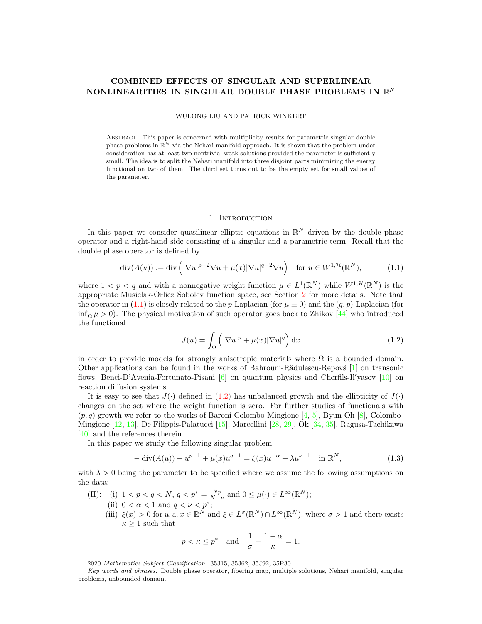# COMBINED EFFECTS OF SINGULAR AND SUPERLINEAR NONLINEARITIES IN SINGULAR DOUBLE PHASE PROBLEMS IN  $\mathbb{R}^N$

WULONG LIU AND PATRICK WINKERT

Abstract. This paper is concerned with multiplicity results for parametric singular double phase problems in  $\mathbb{R}^N$  via the Nehari manifold approach. It is shown that the problem under consideration has at least two nontrivial weak solutions provided the parameter is sufficiently small. The idea is to split the Nehari manifold into three disjoint parts minimizing the energy functional on two of them. The third set turns out to be the empty set for small values of the parameter.

### <span id="page-0-0"></span>1. INTRODUCTION

In this paper we consider quasilinear elliptic equations in  $\mathbb{R}^N$  driven by the double phase operator and a right-hand side consisting of a singular and a parametric term. Recall that the double phase operator is defined by

$$
\operatorname{div}(A(u)) := \operatorname{div}\left( |\nabla u|^{p-2} \nabla u + \mu(x) |\nabla u|^{q-2} \nabla u \right) \quad \text{for } u \in W^{1, \mathcal{H}}(\mathbb{R}^N),\tag{1.1}
$$

where  $1 < p < q$  and with a nonnegative weight function  $\mu \in L^1(\mathbb{R}^N)$  while  $W^{1,\mathcal{H}}(\mathbb{R}^N)$  is the appropriate Musielak-Orlicz Sobolev function space, see Section [2](#page-2-0) for more details. Note that the operator in [\(1.1\)](#page-0-0) is closely related to the p-Laplacian (for  $\mu \equiv 0$ ) and the  $(q, p)$ -Laplacian (for  $\inf_{\overline{\Omega}} \mu > 0$ ). The physical motivation of such operator goes back to Zhikov [\[44\]](#page-14-0) who introduced the functional

<span id="page-0-1"></span>
$$
J(u) = \int_{\Omega} \left( |\nabla u|^p + \mu(x) |\nabla u|^q \right) dx \tag{1.2}
$$

in order to provide models for strongly anisotropic materials where  $\Omega$  is a bounded domain. Other applications can be found in the works of Bahrouni-R $\ddot{\text{add}}$ ulescu-Repov $\ddot{\text{s}}$  [\[1\]](#page-13-0) on transonic flows, Benci-D'Avenia-Fortunato-Pisani  $[6]$  on quantum physics and Cherfils-Il'yasov  $[10]$  on reaction diffusion systems.

It is easy to see that  $J(\cdot)$  defined in [\(1.2\)](#page-0-1) has unbalanced growth and the ellipticity of  $J(\cdot)$ changes on the set where the weight function is zero. For further studies of functionals with  $(p, q)$ -growth we refer to the works of Baroni-Colombo-Mingione [\[4,](#page-13-3) [5\]](#page-13-4), Byun-Oh [\[8\]](#page-13-5), Colombo-Mingione [\[12,](#page-13-6) [13\]](#page-13-7), De Filippis-Palatucci [\[15\]](#page-13-8), Marcellini [\[28,](#page-13-9) [29\]](#page-13-10), Ok [\[34,](#page-13-11) [35\]](#page-14-1), Ragusa-Tachikawa [\[40\]](#page-14-2) and the references therein.

In this paper we study the following singular problem

<span id="page-0-2"></span>
$$
-\operatorname{div}(A(u)) + u^{p-1} + \mu(x)u^{q-1} = \xi(x)u^{-\alpha} + \lambda u^{\nu-1} \quad \text{in } \mathbb{R}^N,
$$
\n(1.3)

with  $\lambda > 0$  being the parameter to be specified where we assume the following assumptions on the data:

- (H): (i)  $1 < p < q < N$ ,  $q < p^* = \frac{Np}{N-p}$  and  $0 \le \mu(\cdot) \in L^{\infty}(\mathbb{R}^N)$ ; (ii)  $0 < \alpha < 1$  and  $q < \nu < p^*$ ;
	- (iii)  $\xi(x) > 0$  for a. a.  $x \in \mathbb{R}^N$  and  $\xi \in L^{\sigma}(\mathbb{R}^N) \cap L^{\infty}(\mathbb{R}^N)$ , where  $\sigma > 1$  and there exists  $\kappa \geq 1$  such that

$$
p < \kappa \le p^*
$$
 and  $\frac{1}{\sigma} + \frac{1-\alpha}{\kappa} = 1$ .

<sup>2020</sup> Mathematics Subject Classification. 35J15, 35J62, 35J92, 35P30.

Key words and phrases. Double phase operator, fibering map, multiple solutions, Nehari manifold, singular problems, unbounded domain.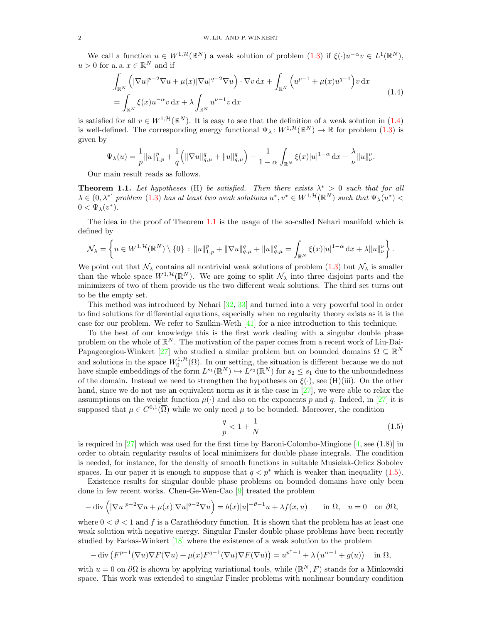We call a function  $u \in W^{1,\mathcal{H}}(\mathbb{R}^N)$  a weak solution of problem  $(1.3)$  if  $\xi(\cdot)u^{-\alpha}v \in L^1(\mathbb{R}^N)$ ,  $u > 0$  for a. a.  $x \in \mathbb{R}^N$  and if

$$
\int_{\mathbb{R}^N} \left( |\nabla u|^{p-2} \nabla u + \mu(x) |\nabla u|^{q-2} \nabla u \right) \cdot \nabla v \, dx + \int_{\mathbb{R}^N} \left( u^{p-1} + \mu(x) u^{q-1} \right) v \, dx
$$
\n
$$
= \int_{\mathbb{R}^N} \xi(x) u^{-\alpha} v \, dx + \lambda \int_{\mathbb{R}^N} u^{\nu-1} v \, dx \tag{1.4}
$$

<span id="page-1-0"></span>is satisfied for all  $v \in W^{1,\mathcal{H}}(\mathbb{R}^N)$ . It is easy to see that the definition of a weak solution in [\(1.4\)](#page-1-0) is well-defined. The corresponding energy functional  $\Psi_{\lambda}: W^{1,\mathcal{H}}(\mathbb{R}^{N}) \to \mathbb{R}$  for problem  $(1.3)$  is given by

$$
\Psi_{\lambda}(u) = \frac{1}{p} \|u\|_{1,p}^p + \frac{1}{q} \left( \|\nabla u\|_{q,\mu}^q + \|u\|_{q,\mu}^q \right) - \frac{1}{1-\alpha} \int_{\mathbb{R}^N} \xi(x)|u|^{1-\alpha} \, \mathrm{d}x - \frac{\lambda}{\nu} \|u\|_{\nu}^{\nu}.
$$

Our main result reads as follows.

<span id="page-1-1"></span>**Theorem 1.1.** Let hypotheses (H) be satisfied. Then there exists  $\lambda^* > 0$  such that for all  $\lambda \in (0, \lambda^*)$  problem  $(1.3)$  has at least two weak solutions  $u^*, v^* \in W^{1,\mathcal{H}}(\mathbb{R}^N)$  such that  $\Psi_{\lambda}(u^*)$  $0 < \Psi_{\lambda}(v^*).$ 

The idea in the proof of Theorem [1.1](#page-1-1) is the usage of the so-called Nehari manifold which is defined by

$$
\mathcal{N}_{\lambda} = \left\{ u \in W^{1, \mathcal{H}}(\mathbb{R}^{N}) \setminus \{0\} \, : \, \|u\|_{1, p}^{p} + \|\nabla u\|_{q, \mu}^{q} + \|u\|_{q, \mu}^{q} = \int_{\mathbb{R}^{N}} \xi(x)|u|^{1-\alpha} \, \mathrm{d}x + \lambda \|u\|_{\nu}^{p} \right\}.
$$

We point out that  $\mathcal{N}_{\lambda}$  contains all nontrivial weak solutions of problem [\(1.3\)](#page-0-2) but  $\mathcal{N}_{\lambda}$  is smaller than the whole space  $W^{1,\mathcal{H}}(\mathbb{R}^N)$ . We are going to split  $\mathcal{N}_{\lambda}$  into three disjoint parts and the minimizers of two of them provide us the two different weak solutions. The third set turns out to be the empty set.

This method was introduced by Nehari [\[32,](#page-13-12) [33\]](#page-13-13) and turned into a very powerful tool in order to find solutions for differential equations, especially when no regularity theory exists as it is the case for our problem. We refer to Szulkin-Weth [\[41\]](#page-14-3) for a nice introduction to this technique.

To the best of our knowledge this is the first work dealing with a singular double phase problem on the whole of  $\mathbb{R}^N$ . The motivation of the paper comes from a recent work of Liu-Dai-Papageorgiou-Winkert [\[27\]](#page-13-14) who studied a similar problem but on bounded domains  $\Omega \subseteq \mathbb{R}^N$ and solutions in the space  $W_0^{1, H}(\Omega)$ . In our setting, the situation is different because we do not have simple embeddings of the form  $L^{s_1}(\mathbb{R}^N) \hookrightarrow L^{s_2}(\mathbb{R}^N)$  for  $s_2 \leq s_1$  due to the unboundedness of the domain. Instead we need to strengthen the hypotheses on  $\xi(\cdot)$ , see (H)(iii). On the other hand, since we do not use an equivalent norm as it is the case in [\[27\]](#page-13-14), we were able to relax the assumptions on the weight function  $\mu(\cdot)$  and also on the exponents p and q. Indeed, in [\[27\]](#page-13-14) it is supposed that  $\mu \in C^{0,1}(\overline{\Omega})$  while we only need  $\mu$  to be bounded. Moreover, the condition

<span id="page-1-2"></span>
$$
\frac{q}{p} < 1 + \frac{1}{N} \tag{1.5}
$$

is required in [\[27\]](#page-13-14) which was used for the first time by Baroni-Colombo-Mingione  $[4, \text{see } (1.8)]$  $[4, \text{see } (1.8)]$  in order to obtain regularity results of local minimizers for double phase integrals. The condition is needed, for instance, for the density of smooth functions in suitable Musielak-Orlicz Sobolev spaces. In our paper it is enough to suppose that  $q < p^*$  which is weaker than inequality [\(1.5\)](#page-1-2).

Existence results for singular double phase problems on bounded domains have only been done in few recent works. Chen-Ge-Wen-Cao [\[9\]](#page-13-15) treated the problem

$$
-\operatorname{div}\left(|\nabla u|^{p-2}\nabla u + \mu(x)|\nabla u|^{q-2}\nabla u\right) = b(x)|u|^{-\vartheta - 1}u + \lambda f(x, u) \quad \text{in } \Omega, \quad u = 0 \quad \text{on } \partial\Omega,
$$

where  $0 < \vartheta < 1$  and f is a Caratheodory function. It is shown that the problem has at least one weak solution with negative energy. Singular Finsler double phase problems have been recently studied by Farkas-Winkert [\[18\]](#page-13-16) where the existence of a weak solution to the problem

$$
-\operatorname{div}\left(F^{p-1}(\nabla u)\nabla F(\nabla u) + \mu(x)F^{q-1}(\nabla u)\nabla F(\nabla u)\right) = u^{p^*-1} + \lambda\left(u^{q-1} + g(u)\right) \quad \text{in } \Omega,
$$

with  $u = 0$  on  $\partial\Omega$  is shown by applying variational tools, while  $(\mathbb{R}^N, F)$  stands for a Minkowski space. This work was extended to singular Finsler problems with nonlinear boundary condition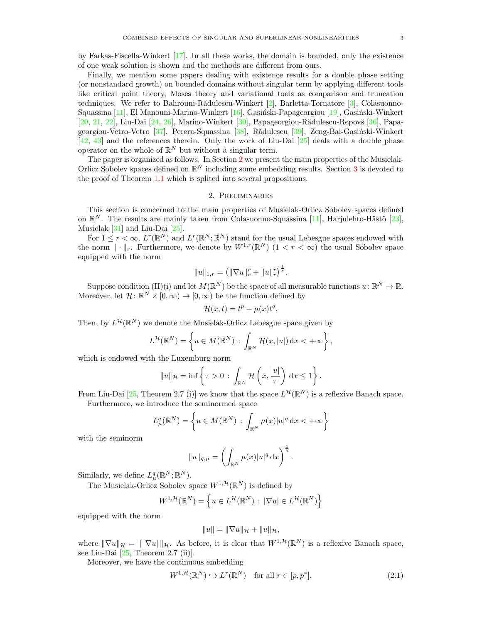by Farkas-Fiscella-Winkert [\[17\]](#page-13-17). In all these works, the domain is bounded, only the existence of one weak solution is shown and the methods are different from ours.

Finally, we mention some papers dealing with existence results for a double phase setting (or nonstandard growth) on bounded domains without singular term by applying different tools like critical point theory, Moses theory and variational tools as comparison and truncation techniques. We refer to Bahrouni-Rădulescu-Winkert  $[2]$ , Barletta-Tornatore  $[3]$ , Colasuonno-Squassina  $[11]$ , El Manouni-Marino-Winkert  $[16]$ , Gasiński-Papageorgiou  $[19]$ , Gasiński-Winkert  $[20, 21, 22]$  $[20, 21, 22]$  $[20, 21, 22]$  $[20, 21, 22]$  $[20, 21, 22]$ , Liu-Dai  $[24, 26]$  $[24, 26]$  $[24, 26]$ , Marino-Winkert  $[30]$ , Papageorgiou-Rădulescu-Repovš  $[36]$ , Papa-georgiou-Vetro-Vetro [\[37\]](#page-14-5), Perera-Squassina [\[38\]](#page-14-6), Rădulescu [\[39\]](#page-14-7), Zeng-Bai-Gasiński-Winkert [\[42,](#page-14-8) [43\]](#page-14-9) and the references therein. Only the work of Liu-Dai [\[25\]](#page-13-29) deals with a double phase operator on the whole of  $\mathbb{R}^N$  but without a singular term.

The paper is organized as follows. In Section [2](#page-2-0) we present the main properties of the Musielak-Orlicz Sobolev spaces defined on  $\mathbb{R}^N$  including some embedding results. Section [3](#page-3-0) is devoted to the proof of Theorem [1.1](#page-1-1) which is splited into several propositions.

## 2. Preliminaries

<span id="page-2-0"></span>This section is concerned to the main properties of Musielak-Orlicz Sobolev spaces defined on  $\mathbb{R}^N$ . The results are mainly taken from Colasuonno-Squassina [\[11\]](#page-13-20), Harjulehto-Hästö [\[23\]](#page-13-30), Musielak [\[31\]](#page-13-31) and Liu-Dai [\[25\]](#page-13-29).

For  $1 \leq r < \infty$ ,  $L^r(\mathbb{R}^N)$  and  $L^r(\mathbb{R}^N;\mathbb{R}^N)$  stand for the usual Lebesgue spaces endowed with the norm  $\|\cdot\|_r$ . Furthermore, we denote by  $W^{1,r}(\mathbb{R}^N)$   $(1 < r < \infty)$  the usual Sobolev space equipped with the norm

$$
||u||_{1,r} = (||\nabla u||_r^r + ||u||_r^r)^{\frac{1}{r}}.
$$

Suppose condition (H)(i) and let  $M(\mathbb{R}^N)$  be the space of all measurable functions  $u: \mathbb{R}^N \to \mathbb{R}$ . Moreover, let  $\mathcal{H} \colon \mathbb{R}^N \times [0, \infty) \to [0, \infty)$  be the function defined by

$$
\mathcal{H}(x,t) = t^p + \mu(x)t^q.
$$

Then, by  $L^{\mathcal{H}}(\mathbb{R}^N)$  we denote the Musielak-Orlicz Lebesgue space given by

$$
L^{\mathcal{H}}(\mathbb{R}^N) = \left\{ u \in M(\mathbb{R}^N) : \int_{\mathbb{R}^N} \mathcal{H}(x, |u|) dx < +\infty \right\},\,
$$

which is endowed with the Luxemburg norm

$$
||u||_{\mathcal{H}} = \inf \left\{ \tau > 0 \, : \, \int_{\mathbb{R}^N} \mathcal{H} \left( x, \frac{|u|}{\tau} \right) \, \mathrm{d}x \le 1 \right\}
$$

From Liu-Dai [\[25,](#page-13-29) Theorem 2.7 (i)] we know that the space  $L^{\mathcal{H}}(\mathbb{R}^N)$  is a reflexive Banach space.

Furthermore, we introduce the seminormed space

$$
L^q_\mu(\mathbb{R}^N) = \left\{ u \in M(\mathbb{R}^N) : \int_{\mathbb{R}^N} \mu(x) |u|^q \, \mathrm{d}x < +\infty \right\}
$$

with the seminorm

$$
||u||_{q,\mu} = \left(\int_{\mathbb{R}^N} \mu(x)|u|^q dx\right)^{\frac{1}{q}}.
$$

Similarly, we define  $L^q_\mu(\mathbb{R}^N;\mathbb{R}^N)$ .

The Musielak-Orlicz Sobolev space  $W^{1,\mathcal{H}}(\mathbb{R}^N)$  is defined by

$$
W^{1,\mathcal{H}}(\mathbb{R}^N) = \left\{ u \in L^{\mathcal{H}}(\mathbb{R}^N) : |\nabla u| \in L^{\mathcal{H}}(\mathbb{R}^N) \right\}
$$

equipped with the norm

<span id="page-2-1"></span>
$$
||u|| = ||\nabla u||_{\mathcal{H}} + ||u||_{\mathcal{H}},
$$

where  $\|\nabla u\|_{\mathcal{H}} = \|\nabla u\|_{\mathcal{H}}$ . As before, it is clear that  $W^{1,\mathcal{H}}(\mathbb{R}^N)$  is a reflexive Banach space, see Liu-Dai [\[25,](#page-13-29) Theorem 2.7 (ii)].

Moreover, we have the continuous embedding

$$
W^{1, \mathcal{H}}(\mathbb{R}^N) \hookrightarrow L^r(\mathbb{R}^N) \quad \text{for all } r \in [p, p^*],
$$
\n(2.1)

.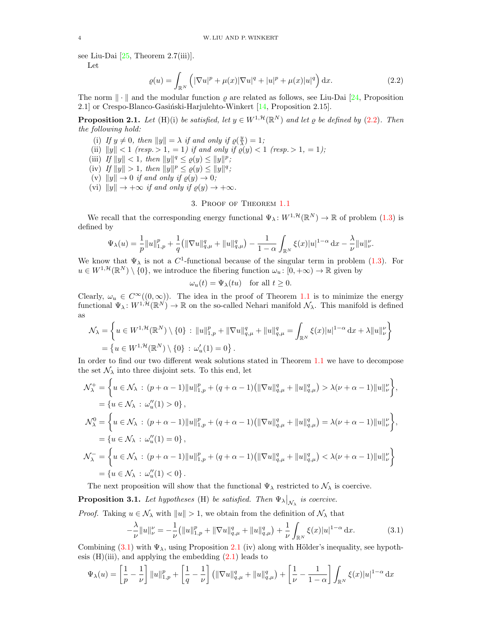see Liu-Dai  $[25,$  Theorem 2.7(iii)].

Let

$$
\varrho(u) = \int_{\mathbb{R}^N} \left( |\nabla u|^p + \mu(x) |\nabla u|^q + |u|^p + \mu(x) |u|^q \right) dx.
$$
 (2.2)

The norm  $\|\cdot\|$  and the modular function  $\rho$  are related as follows, see Liu-Dai [\[24,](#page-13-26) Proposition 2.1] or Crespo-Blanco-Gasiński-Harjulehto-Winkert [\[14,](#page-13-32) Proposition 2.15].

<span id="page-3-3"></span>**Proposition 2.1.** Let (H)(i) be satisfied, let  $y \in W^{1,\mathcal{H}}(\mathbb{R}^N)$  and let  $\varrho$  be defined by [\(2.2\)](#page-3-1). Then the following hold:

- (i) If  $y \neq 0$ , then  $||y|| = \lambda$  if and only if  $\varrho(\frac{y}{\lambda}) = 1$ ;
- (ii)  $||y|| < 1$  (resp. > 1, = 1) if and only if  $\rho(y) < 1$  (resp. > 1, = 1);
- (iii) If  $||y|| < 1$ , then  $||y||^q \leq \varrho(y) \leq ||y||^p$ ;
- (iv) If  $||y|| > 1$ , then  $||y||^p \le \varrho(y) \le ||y||^q$ ;
- (v)  $||y|| \rightarrow 0$  if and only if  $\varrho(y) \rightarrow 0;$
- (vi)  $||y|| \rightarrow +\infty$  if and only if  $\varrho(y) \rightarrow +\infty$ .

# <span id="page-3-1"></span>3. Proof of Theorem [1.1](#page-1-1)

<span id="page-3-0"></span>We recall that the corresponding energy functional  $\Psi_\lambda: W^{1,\mathcal{H}}(\mathbb{R}^N) \to \mathbb{R}$  of problem  $(1.3)$  is defined by

$$
\Psi_{\lambda}(u) = \frac{1}{p} \|u\|_{1,p}^p + \frac{1}{q} (|\nabla u||_{q,\mu}^q + \|u\|_{q,\mu}^q) - \frac{1}{1-\alpha} \int_{\mathbb{R}^N} \xi(x)|u|^{1-\alpha} \, \mathrm{d}x - \frac{\lambda}{\nu} \|u\|_{\nu}^p.
$$

We know that  $\Psi_{\lambda}$  is not a C<sup>1</sup>-functional because of the singular term in problem [\(1.3\)](#page-0-2). For  $u \in W^{1,\mathcal{H}}(\mathbb{R}^N) \setminus \{0\}$ , we introduce the fibering function  $\omega_u : [0, +\infty) \to \mathbb{R}$  given by

$$
\omega_u(t) = \Psi_\lambda(tu) \quad \text{for all } t \ge 0.
$$

Clearly,  $\omega_u \in C^{\infty}((0,\infty))$ . The idea in the proof of Theorem [1.1](#page-1-1) is to minimize the energy functional  $\Psi_{\lambda}: W^{1,\mathcal{H}}(\mathbb{R}^{N}) \to \mathbb{R}$  on the so-called Nehari manifold  $\mathcal{N}_{\lambda}$ . This manifold is defined as

$$
\mathcal{N}_{\lambda} = \left\{ u \in W^{1, \mathcal{H}}(\mathbb{R}^{N}) \setminus \{0\} : \|u\|_{1, p}^{p} + \|\nabla u\|_{q, \mu}^{q} + \|u\|_{q, \mu}^{q} = \int_{\mathbb{R}^{N}} \xi(x)|u|^{1-\alpha} dx + \lambda \|u\|_{\nu}^{p} \right\}
$$
  
=  $\left\{ u \in W^{1, \mathcal{H}}(\mathbb{R}^{N}) \setminus \{0\} : \omega_{u}'(1) = 0 \right\}.$ 

In order to find our two different weak solutions stated in Theorem [1.1](#page-1-1) we have to decompose the set  $\mathcal{N}_{\lambda}$  into three disjoint sets. To this end, let

$$
\mathcal{N}_{\lambda}^{+} = \left\{ u \in \mathcal{N}_{\lambda} : (p + \alpha - 1) ||u||_{1,p}^{p} + (q + \alpha - 1) (||\nabla u||_{q,\mu}^{q} + ||u||_{q,\mu}^{q}) > \lambda(\nu + \alpha - 1) ||u||_{\nu}^{\nu} \right\},
$$
  
\n
$$
= \{ u \in \mathcal{N}_{\lambda} : \omega_{u}''(1) > 0 \},
$$
  
\n
$$
\mathcal{N}_{\lambda}^{0} = \left\{ u \in \mathcal{N}_{\lambda} : (p + \alpha - 1) ||u||_{1,p}^{p} + (q + \alpha - 1) (||\nabla u||_{q,\mu}^{q} + ||u||_{q,\mu}^{q}) = \lambda(\nu + \alpha - 1) ||u||_{\nu}^{\nu} \right\},
$$
  
\n
$$
= \{ u \in \mathcal{N}_{\lambda} : \omega_{u}''(1) = 0 \},
$$
  
\n
$$
\mathcal{N}_{\lambda}^{-} = \left\{ u \in \mathcal{N}_{\lambda} : (p + \alpha - 1) ||u||_{1,p}^{p} + (q + \alpha - 1) (||\nabla u||_{q,\mu}^{q} + ||u||_{q,\mu}^{q}) < \lambda(\nu + \alpha - 1) ||u||_{\nu}^{\nu} \right\}
$$
  
\n
$$
= \{ u \in \mathcal{N}_{\lambda} : \omega_{u}''(1) < 0 \}.
$$

The next proposition will show that the functional  $\Psi_{\lambda}$  restricted to  $\mathcal{N}_{\lambda}$  is coercive.

<span id="page-3-4"></span>**Proposition 3.1.** Let hypotheses (H) be satisfied. Then  $\Psi_{\lambda}|_{\mathcal{N}_{\lambda}}$  is coercive.

*Proof.* Taking  $u \in \mathcal{N}_{\lambda}$  with  $||u|| > 1$ , we obtain from the definition of  $\mathcal{N}_{\lambda}$  that

<span id="page-3-2"></span>
$$
-\frac{\lambda}{\nu}||u||_{\nu}^{\nu} = -\frac{1}{\nu} (||u||_{1,p}^{p} + ||\nabla u||_{q,\mu}^{q} + ||u||_{q,\mu}^{q}) + \frac{1}{\nu} \int_{\mathbb{R}^{N}} \xi(x)|u|^{1-\alpha} dx.
$$
 (3.1)

Combining [\(3.1\)](#page-3-2) with  $\Psi_{\lambda}$ , using Proposition [2.1](#page-3-3) (iv) along with Hölder's inequality, see hypothesis  $(H)(iii)$ , and applying the embedding  $(2.1)$  leads to

$$
\Psi_{\lambda}(u) = \left[\frac{1}{p} - \frac{1}{\nu}\right] \|u\|_{1,p}^p + \left[\frac{1}{q} - \frac{1}{\nu}\right] \left(\|\nabla u\|_{q,\mu}^q + \|u\|_{q,\mu}^q\right) + \left[\frac{1}{\nu} - \frac{1}{1-\alpha}\right] \int_{\mathbb{R}^N} \xi(x)|u|^{1-\alpha} \, \mathrm{d}x
$$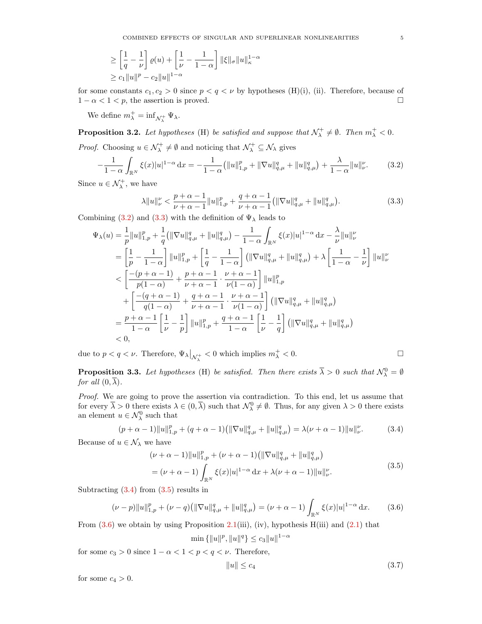$$
\geq \left[\frac{1}{q} - \frac{1}{\nu}\right] \varrho(u) + \left[\frac{1}{\nu} - \frac{1}{1-\alpha}\right] \|\xi\|_{\sigma} \|u\|_{\kappa}^{1-\alpha}
$$
  

$$
\geq c_1 \|u\|^p - c_2 \|u\|^{1-\alpha}
$$

for some constants  $c_1, c_2 > 0$  since  $p < q < \nu$  by hypotheses (H)(i), (ii). Therefore, because of  $1 - \alpha < 1 < p$ , the assertion is proved.

We define  $m_{\lambda}^{+} = \inf_{\mathcal{N}_{\lambda}^{+}} \Psi_{\lambda}$ .

<span id="page-4-6"></span>**Proposition 3.2.** Let hypotheses (H) be satisfied and suppose that  $\mathcal{N}_{\lambda}^+ \neq \emptyset$ . Then  $m_{\lambda}^+ < 0$ . *Proof.* Choosing  $u \in \mathcal{N}^+_\lambda \neq \emptyset$  and noticing that  $\mathcal{N}^+_\lambda \subseteq \mathcal{N}_\lambda$  gives

$$
-\frac{1}{1-\alpha} \int_{\mathbb{R}^N} \xi(x)|u|^{1-\alpha} dx = -\frac{1}{1-\alpha} \left( \|u\|_{1,p}^p + \|\nabla u\|_{q,\mu}^q + \|u\|_{q,\mu}^q \right) + \frac{\lambda}{1-\alpha} \|u\|_{\nu}^{\nu}.
$$
 (3.2)

Since  $u \in \mathcal{N}_{\lambda}^{+}$ , we have

<span id="page-4-1"></span><span id="page-4-0"></span>
$$
\lambda \|u\|_{\nu}^{\nu} < \frac{p+\alpha-1}{\nu+\alpha-1} \|u\|_{1,p}^p + \frac{q+\alpha-1}{\nu+\alpha-1} \left( \|\nabla u\|_{q,\mu}^q + \|u\|_{q,\mu}^q \right). \tag{3.3}
$$

Combining [\(3.2\)](#page-4-0) and [\(3.3\)](#page-4-1) with the definition of  $\Psi_{\lambda}$  leads to

$$
\Psi_{\lambda}(u) = \frac{1}{p} ||u||_{1,p}^{p} + \frac{1}{q} (||\nabla u||_{q,\mu}^{q} + ||u||_{q,\mu}^{q}) - \frac{1}{1-\alpha} \int_{\mathbb{R}^{N}} \xi(x) |u|^{1-\alpha} dx - \frac{\lambda}{\nu} ||u||_{\nu}^{\nu}
$$
\n
$$
= \left[\frac{1}{p} - \frac{1}{1-\alpha}\right] ||u||_{1,p}^{p} + \left[\frac{1}{q} - \frac{1}{1-\alpha}\right] (||\nabla u||_{q,\mu}^{q} + ||u||_{q,\mu}^{q}) + \lambda \left[\frac{1}{1-\alpha} - \frac{1}{\nu}\right] ||u||_{\nu}^{\nu}
$$
\n
$$
< \left[\frac{-(p+\alpha-1)}{p(1-\alpha)} + \frac{p+\alpha-1}{\nu+\alpha-1} \cdot \frac{\nu+\alpha-1}{\nu(1-\alpha)}\right] ||u||_{1,p}^{p}
$$
\n
$$
+ \left[\frac{-(q+\alpha-1)}{q(1-\alpha)} + \frac{q+\alpha-1}{\nu+\alpha-1} \cdot \frac{\nu+\alpha-1}{\nu(1-\alpha)}\right] (||\nabla u||_{q,\mu}^{q} + ||u||_{q,\mu}^{q})
$$
\n
$$
= \frac{p+\alpha-1}{1-\alpha} \left[\frac{1}{\nu} - \frac{1}{p}\right] ||u||_{1,p}^{p} + \frac{q+\alpha-1}{1-\alpha} \left[\frac{1}{\nu} - \frac{1}{q}\right] (||\nabla u||_{q,\mu}^{q} + ||u||_{q,\mu}^{q})
$$
\n
$$
< 0,
$$

due to  $p < q < \nu$ . Therefore,  $\Psi_{\lambda}|_{\mathcal{N}_{\lambda}^{+}} < 0$  which implies  $m_{\lambda}^{+} < 0$ .

<span id="page-4-7"></span>**Proposition 3.3.** Let hypotheses (H) be satisfied. Then there exists  $\overline{\lambda} > 0$  such that  $\mathcal{N}_{\lambda}^0 = \emptyset$ for all  $(0, \overline{\lambda})$ .

Proof. We are going to prove the assertion via contradiction. To this end, let us assume that for every  $\overline{\lambda} > 0$  there exists  $\lambda \in (0, \overline{\lambda})$  such that  $\mathcal{N}_{\lambda}^0 \neq \emptyset$ . Thus, for any given  $\lambda > 0$  there exists an element  $u \in \mathcal{N}_{\lambda}^0$  such that

$$
(p + \alpha - 1) \|u\|_{1,p}^p + (q + \alpha - 1) \left( \|\nabla u\|_{q,\mu}^q + \|u\|_{q,\mu}^q \right) = \lambda(\nu + \alpha - 1) \|u\|_{\nu}^p. \tag{3.4}
$$

Because of  $u \in \mathcal{N}_{\lambda}$  we have

$$
(\nu + \alpha - 1) \|u\|_{1,p}^p + (\nu + \alpha - 1) \left( \|\nabla u\|_{q,\mu}^q + \|u\|_{q,\mu}^q \right)
$$
  
= 
$$
(\nu + \alpha - 1) \int_{\mathbb{R}^N} \xi(x) |u|^{1-\alpha} dx + \lambda(\nu + \alpha - 1) \|u\|_{\nu}^p.
$$
 (3.5)

Subtracting  $(3.4)$  from  $(3.5)$  results in

$$
(\nu - p) \|u\|_{1,p}^p + (\nu - q) \left( \|\nabla u\|_{q,\mu}^q + \|u\|_{q,\mu}^q \right) = (\nu + \alpha - 1) \int_{\mathbb{R}^N} \xi(x) |u|^{1-\alpha} dx. \tag{3.6}
$$

From  $(3.6)$  we obtain by using Proposition [2.1\(](#page-3-3)iii), (iv), hypothesis H(iii) and  $(2.1)$  that

$$
\min\left\{\|u\|^p, \|u\|^q\right\} \le c_3 \|u\|^{1-\alpha}
$$

for some  $c_3 > 0$  since  $1 - \alpha < 1 < p < q < \nu$ . Therefore,

<span id="page-4-5"></span><span id="page-4-4"></span><span id="page-4-3"></span><span id="page-4-2"></span>
$$
||u|| \leq c_4 \tag{3.7}
$$

for some  $c_4 > 0$ .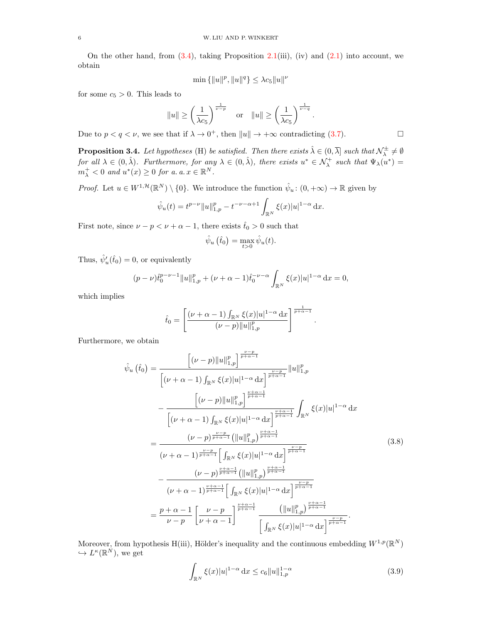On the other hand, from  $(3.4)$ , taking Proposition [2.1\(](#page-3-3)iii), (iv) and  $(2.1)$  into account, we obtain

$$
\min\{\|u\|^p, \|u\|^q\} \le \lambda c_5 \|u\|^\nu
$$

for some  $c_5 > 0$ . This leads to

$$
||u|| \ge \left(\frac{1}{\lambda c_5}\right)^{\frac{1}{\nu-p}} \quad \text{or} \quad ||u|| \ge \left(\frac{1}{\lambda c_5}\right)^{\frac{1}{\nu-q}}.
$$

Due to  $p < q < \nu$ , we see that if  $\lambda \to 0^+$ , then  $||u|| \to +\infty$  contradicting [\(3.7\)](#page-4-5).

<span id="page-5-2"></span>**Proposition 3.4.** Let hypotheses (H) be satisfied. Then there exists  $\hat{\lambda} \in (0, \overline{\lambda}]$  such that  $\mathcal{N}_{\lambda}^{\pm} \neq \emptyset$ for all  $\lambda \in (0, \hat{\lambda})$ . Furthermore, for any  $\lambda \in (0, \hat{\lambda})$ , there exists  $u^* \in \mathcal{N}_{\lambda}^+$  such that  $\Psi_{\lambda}(u^*) =$  $m_\lambda^+ < 0$  and  $u^*(x) \geq 0$  for a. a.  $x \in \mathbb{R}^N$ .

*Proof.* Let  $u \in W^{1,\mathcal{H}}(\mathbb{R}^N) \setminus \{0\}$ . We introduce the function  $\hat{\psi}_u : (0, +\infty) \to \mathbb{R}$  given by

$$
\hat{\psi}_u(t) = t^{p-\nu} \|u\|_{1,p}^p - t^{-\nu-\alpha+1} \int_{\mathbb{R}^N} \xi(x) |u|^{1-\alpha} dx.
$$

First note, since  $\nu - p < \nu + \alpha - 1$ , there exists  $\hat{t}_0 > 0$  such that

$$
\hat{\psi}_u\left(\hat{t}_0\right) = \max_{t>0} \hat{\psi}_u(t).
$$

Thus,  $\hat{\psi}'_u(\hat{t}_0) = 0$ , or equivalently

$$
(p - \nu)\hat{t}_0^{p - \nu - 1} \|u\|_{1, p}^p + (\nu + \alpha - 1)\hat{t}_0^{-\nu - \alpha} \int_{\mathbb{R}^N} \xi(x)|u|^{1 - \alpha} dx = 0,
$$

which implies

$$
\hat{t}_0 = \left[ \frac{(\nu + \alpha - 1) \int_{\mathbb{R}^N} \xi(x) |u|^{1-\alpha} dx}{(\nu - p) ||u||_{1,p}^p} \right]^{\frac{1}{p+\alpha-1}}.
$$

Furthermore, we obtain

$$
\hat{\psi}_{u}\left(\hat{t}_{0}\right) = \frac{\left[(\nu-p)\|u\|_{1,p}^{p}\right]^{\frac{\nu-p}{p+\alpha-1}}}{\left[(\nu+\alpha-1)\int_{\mathbb{R}^{N}}\xi(x)|u|^{1-\alpha}dx\right]^{\frac{\nu-p}{p+\alpha-1}}}\|u\|_{1,p}^{p}} - \frac{\left[(\nu-p)\|u\|_{1,p}^{p}\right]^{\frac{\nu+\alpha-1}{p+\alpha-1}}}{\left[(\nu+\alpha-1)\int_{\mathbb{R}^{N}}\xi(x)|u|^{1-\alpha}dx\right]^{\frac{\nu+\alpha-1}{p+\alpha-1}}}\int_{\mathbb{R}^{N}}\xi(x)|u|^{1-\alpha}dx
$$
\n
$$
= \frac{(\nu-p)^{\frac{\nu-p}{p+\alpha-1}}\left(\|u\|_{1,p}^{p}\right)^{\frac{\nu+\alpha-1}{p+\alpha-1}}}{\left(\nu+\alpha-1\right)^{\frac{\nu-p}{p+\alpha-1}}\left[\int_{\mathbb{R}^{N}}\xi(x)|u|^{1-\alpha}dx\right]^{\frac{\nu-p}{p+\alpha-1}}}}{\left(\nu+\alpha-1\right)^{\frac{\nu+\alpha-1}{p+\alpha-1}}\left(\|u\|_{1,p}^{p}\right)^{\frac{\nu+\alpha-1}{p+\alpha-1}}}\n-\frac{(\nu-p)^{\frac{\nu+\alpha-1}{p+\alpha-1}}\left(\|u\|_{1,p}^{p}\right)^{\frac{\nu+\alpha-1}{p+\alpha-1}}}{\left(\nu+\alpha-1\right)^{\frac{\nu+\alpha-1}{p+\alpha-1}}\left[\int_{\mathbb{R}^{N}}\xi(x)|u|^{1-\alpha}dx\right]^{\frac{\nu-p}{p+\alpha-1}}}}\n=\frac{p+\alpha-1}{\nu-p}\left[\frac{\nu-p}{\nu+\alpha-1}\right]^{\frac{\nu+\alpha-1}{p+\alpha-1}}\frac{\left(\|u\|_{1,p}^{p}\right)^{\frac{\nu+\alpha-1}{p+\alpha-1}}}{\left[\int_{\mathbb{R}^{N}}\xi(x)|u|^{1-\alpha}dx\right]^{\frac{\nu-p}{p+\alpha-1}}}.
$$
\n(8.8)

Moreover, from hypothesis H(iii), Hölder's inequality and the continuous embedding  $W^{1,p}(\mathbb{R}^N)$  $\hookrightarrow L^{\kappa}(\mathbb{R}^N)$ , we get

<span id="page-5-1"></span><span id="page-5-0"></span>
$$
\int_{\mathbb{R}^N} \xi(x)|u|^{1-\alpha} \, \mathrm{d}x \le c_6 \|u\|_{1,p}^{1-\alpha} \tag{3.9}
$$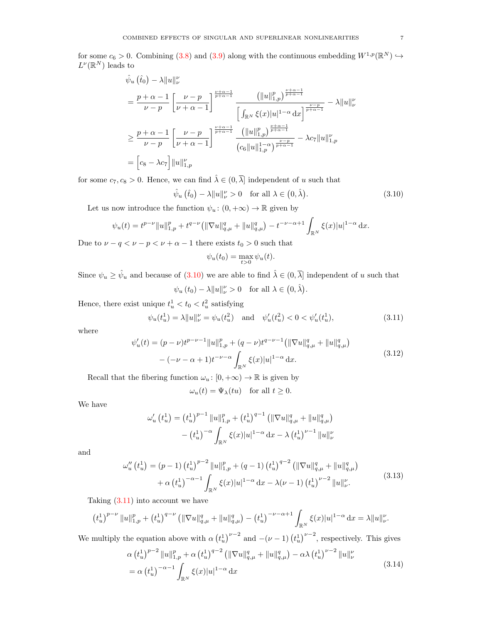for some  $c_6 > 0$ . Combining [\(3.8\)](#page-5-0) and [\(3.9\)](#page-5-1) along with the continuous embedding  $W^{1,p}(\mathbb{R}^N) \hookrightarrow$  $L^{\nu}(\mathbb{R}^N)$  leads to

$$
\hat{\psi}_{u}(\hat{t}_{0}) - \lambda \|u\|_{\nu}^{\nu}
$$
\n
$$
= \frac{p + \alpha - 1}{\nu - p} \left[ \frac{\nu - p}{\nu + \alpha - 1} \right]^{\frac{\nu + \alpha - 1}{p + \alpha - 1}} \frac{\left( \|u\|_{1,p}^{p} \right)^{\frac{\nu + \alpha - 1}{p + \alpha - 1}}}{\left[ \int_{\mathbb{R}^{N}} \xi(x)|u|^{1 - \alpha} dx \right]^{\frac{\nu - p}{p + \alpha - 1}}} - \lambda \|u\|_{\nu}^{\nu}
$$
\n
$$
\geq \frac{p + \alpha - 1}{\nu - p} \left[ \frac{\nu - p}{\nu + \alpha - 1} \right]^{\frac{\nu + \alpha - 1}{p + \alpha - 1}} \frac{\left( \|u\|_{1,p}^{p} \right)^{\frac{\nu + \alpha - 1}{p + \alpha - 1}}}{\left( c_{6} \|u\|_{1,p}^{1 - \alpha} \right)^{\frac{\nu - p}{p + \alpha - 1}}} - \lambda c_{7} \|u\|_{1,p}^{\nu}
$$
\n
$$
= \left[ c_{8} - \lambda c_{7} \right] \|u\|_{1,p}^{\nu}
$$

for some  $c_7, c_8 > 0$ . Hence, we can find  $\hat{\lambda} \in (0, \overline{\lambda}]$  independent of u such that

 $\hat{\psi}_u(\hat{t}_0) - \lambda \|u\|_{\nu}^{\nu} > 0$  for all  $\lambda \in (0, \hat{\lambda})$  $(3.10)$ 

Let us now introduce the function  $\psi_u : (0, +\infty) \to \mathbb{R}$  given by

$$
\psi_u(t) = t^{p-\nu} \|u\|_{1,p}^p + t^{q-\nu} \left( \|\nabla u\|_{q,\mu}^q + \|u\|_{q,\mu}^q \right) - t^{-\nu-\alpha+1} \int_{\mathbb{R}^N} \xi(x) |u|^{1-\alpha} dx.
$$

Due to  $\nu - q < \nu - p < \nu + \alpha - 1$  there exists  $t_0 > 0$  such that

<span id="page-6-4"></span><span id="page-6-0"></span>
$$
\psi_u(t_0) = \max_{t>0} \psi_u(t).
$$

Since  $\psi_u \ge \hat{\psi}_u$  and because of [\(3.10\)](#page-6-0) we are able to find  $\hat{\lambda} \in (0, \overline{\lambda}]$  independent of u such that  $\psi_u(t_0) - \lambda \|u\|_{\nu}^{\nu} > 0$  for all  $\lambda \in (0, \hat{\lambda})$ .

Hence, there exist unique  $t_u^1 < t_0 < t_u^2$  satisfying

<span id="page-6-1"></span>
$$
\psi_u(t_u^1) = \lambda \|u\|_{\nu}^{\nu} = \psi_u(t_u^2) \quad \text{and} \quad \psi_u'(t_u^2) < 0 < \psi_u'(t_u^1),\tag{3.11}
$$

where

$$
\psi'_u(t) = (p - \nu)t^{p - \nu - 1} \|u\|_{1,p}^p + (q - \nu)t^{q - \nu - 1} (\|\nabla u\|_{q,\mu}^q + \|u\|_{q,\mu}^q) - (-\nu - \alpha + 1)t^{-\nu - \alpha} \int_{\mathbb{R}^N} \xi(x)|u|^{1 - \alpha} dx.
$$
\n(3.12)

Recall that the fibering function  $\omega_u : [0, +\infty) \to \mathbb{R}$  is given by

<span id="page-6-3"></span><span id="page-6-2"></span>
$$
\omega_u(t) = \Psi_\lambda(tu) \quad \text{for all } t \ge 0.
$$

We have

$$
\omega'_{u} (t_{u}^{1}) = (t_{u}^{1})^{p-1} ||u||_{1,p}^{p} + (t_{u}^{1})^{q-1} (||\nabla u||_{q,\mu}^{q} + ||u||_{q,\mu}^{q})
$$

$$
- (t_{u}^{1})^{-\alpha} \int_{\mathbb{R}^{N}} \xi(x) |u|^{1-\alpha} dx - \lambda (t_{u}^{1})^{\nu-1} ||u||_{\nu}^{\nu}
$$

and

$$
\omega_{u}''(t_{u}^{1}) = (p-1) (t_{u}^{1})^{p-2} \|u\|_{1,p}^{p} + (q-1) (t_{u}^{1})^{q-2} (\|\nabla u\|_{q,\mu}^{q} + \|u\|_{q,\mu}^{q})
$$
  
+  $\alpha (t_{u}^{1})^{-\alpha-1} \int_{\mathbb{R}^{N}} \xi(x)|u|^{1-\alpha} dx - \lambda(\nu-1) (t_{u}^{1})^{\nu-2} \|u\|_{\nu}^{\nu}.$  (3.13)

Taking  $(3.11)$  into account we have

$$
(t_u^1)^{p-\nu} \|u\|_{1,p}^p + (t_u^1)^{q-\nu} \left( \|\nabla u\|_{q,\mu}^q + \|u\|_{q,\mu}^q \right) - (t_u^1)^{-\nu-\alpha+1} \int_{\mathbb{R}^N} \xi(x)|u|^{1-\alpha} \, \mathrm{d}x = \lambda \|u\|_{\nu}^{\nu}.
$$

We multiply the equation above with  $\alpha \left( t_u^1 \right)^{\nu-2}$  and  $-(\nu-1) \left( t_u^1 \right)^{\nu-2}$ , respectively. This gives

$$
\alpha \left(t_u^1\right)^{p-2} \|u\|_{1,p}^p + \alpha \left(t_u^1\right)^{q-2} \left(\|\nabla u\|_{q,\mu}^q + \|u\|_{q,\mu}^q\right) - \alpha \lambda \left(t_u^1\right)^{\nu-2} \|u\|_{\nu}^{\nu}
$$
  
=  $\alpha \left(t_u^1\right)^{-\alpha-1} \int_{\mathbb{R}^N} \xi(x)|u|^{1-\alpha} dx$  (3.14)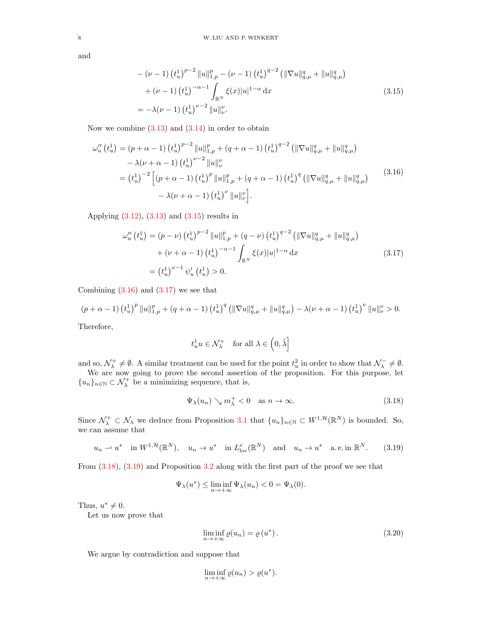and

<span id="page-7-0"></span>
$$
-(\nu-1) (t_u^1)^{p-2} \|u\|_{1,p}^p - (\nu-1) (t_u^1)^{q-2} (|\nabla u|_{q,\mu}^q + \|u\|_{q,\mu}^q)
$$
  
+ (\nu-1) (t\_u^1)^{-\alpha-1} \int\_{\mathbb{R}^N} \xi(x) |u|^{1-\alpha} dx  
= -\lambda(\nu-1) (t\_u^1)^{\nu-2} \|u\|\_{\nu}^{\nu}. (3.15)

Now we combine  $(3.13)$  and  $(3.14)$  in order to obtain

$$
\omega_{u}''(t_{u}^{1}) = (p + \alpha - 1) (t_{u}^{1})^{p-2} \|u\|_{1,p}^{p} + (q + \alpha - 1) (t_{u}^{1})^{q-2} (\|\nabla u\|_{q,\mu}^{q} + \|u\|_{q,\mu}^{q})
$$
  

$$
- \lambda(\nu + \alpha - 1) (t_{u}^{1})^{\nu-2} \|u\|_{\nu}^{\nu}
$$
  

$$
= (t_{u}^{1})^{-2} \left[ (p + \alpha - 1) (t_{u}^{1})^{p} \|u\|_{1,p}^{p} + (q + \alpha - 1) (t_{u}^{1})^{q} (\|\nabla u\|_{q,\mu}^{q} + \|u\|_{q,\mu}^{q})
$$
  

$$
- \lambda(\nu + \alpha - 1) (t_{u}^{1})^{\nu} \|u\|_{\nu}^{\nu} \right].
$$
 (3.16)

<span id="page-7-2"></span>Applying [\(3.12\)](#page-6-4), [\(3.13\)](#page-6-2) and [\(3.15\)](#page-7-0) results in

$$
\omega_{u}''(t_{u}^{1}) = (p - \nu) (t_{u}^{1})^{p-2} \|u\|_{1,p}^{p} + (q - \nu) (t_{u}^{1})^{q-2} ( \|\nabla u\|_{q,\mu}^{q} + \|u\|_{q,\mu}^{q})
$$

$$
+ (\nu + \alpha - 1) (t_{u}^{1})^{-\alpha - 1} \int_{\mathbb{R}^{N}} \xi(x)|u|^{1-\alpha} dx
$$

$$
= (t_{u}^{1})^{\nu - 1} \psi_{u}'(t_{u}^{1}) > 0.
$$
(3.17)

Combining  $(3.16)$  and  $(3.17)$  we see that

$$
(p+\alpha-1)\left(t_u^1\right)^p\|u\|_{1,p}^p+(q+\alpha-1)\left(t_u^1\right)^q\left(\|\nabla u\|_{q,\mu}^q+\|u\|_{q,\mu}^q\right)-\lambda(\nu+\alpha-1)\left(t_u^1\right)^\nu\|u\|_\nu^{\nu}>0.
$$

Therefore,

<span id="page-7-1"></span>
$$
t^1_u u \in \mathcal{N}^+_{\lambda} \quad \text{for all } \lambda \in \left(0, \hat{\lambda}\right]
$$

and so,  $\mathcal{N}_{\lambda}^{+} \neq \emptyset$ . A similar treatment can be used for the point  $t_{u}^{2}$  in order to show that  $\mathcal{N}_{\lambda}^{-} \neq \emptyset$ .

We are now going to prove the second assertion of the proposition. For this purpose, let  $\{u_n\}_{n\in\mathbb{N}}\subset \mathcal{N}^+_\lambda$  be a minimizing sequence, that is,

<span id="page-7-4"></span><span id="page-7-3"></span>
$$
\Psi_{\lambda}(u_n) \searrow m_{\lambda}^+ < 0 \quad \text{as } n \to \infty. \tag{3.18}
$$

Since  $\mathcal{N}_{\lambda}^+ \subset \mathcal{N}_{\lambda}$  we deduce from Proposition [3.1](#page-3-4) that  $\{u_n\}_{n\in\mathbb{N}} \subset W^{1,\mathcal{H}}(\mathbb{R}^N)$  is bounded. So, we can assume that

$$
u_n \rightharpoonup u^*
$$
 in  $W^{1,\mathcal{H}}(\mathbb{R}^N)$ ,  $u_n \rightharpoonup u^*$  in  $L^{\nu}_{loc}(\mathbb{R}^N)$  and  $u_n \rightharpoonup u^*$  a.e. in  $\mathbb{R}^N$ . (3.19)

From [\(3.18\)](#page-7-3), [\(3.19\)](#page-7-4) and Proposition [3.2](#page-4-6) along with the first part of the proof we see that

$$
\Psi_{\lambda}(u^*) \le \liminf_{n \to +\infty} \Psi_{\lambda}(u_n) < 0 = \Psi_{\lambda}(0).
$$

Thus,  $u^* \neq 0$ .

Let us now prove that

<span id="page-7-5"></span>
$$
\liminf_{n \to +\infty} \varrho(u_n) = \varrho(u^*).
$$
\n(3.20)

We argue by contradiction and suppose that

$$
\liminf_{n \to +\infty} \varrho(u_n) > \varrho(u^*).
$$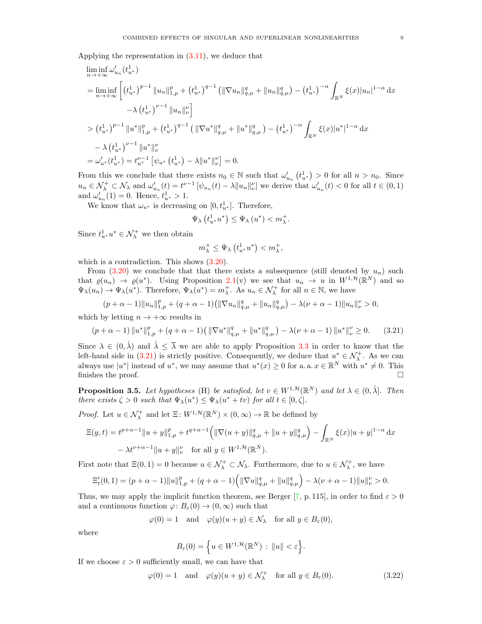Applying the representation in [\(3.11\)](#page-6-1), we deduce that

$$
\liminf_{n \to +\infty} \omega'_{u_n}(t_{u^*}^1)
$$
\n
$$
= \liminf_{n \to +\infty} \left[ \left( t_{u^*}^1 \right)^{p-1} \|u_n\|_{1,p}^p + \left( t_{u^*}^1 \right)^{q-1} \left( \|\nabla u_n\|_{q,\mu}^q + \|u_n\|_{q,\mu}^q \right) - \left( t_{u^*}^1 \right)^{-\alpha} \int_{\mathbb{R}^N} \xi(x) |u_n|^{1-\alpha} dx \right.
$$
\n
$$
- \lambda \left( t_{u^*}^1 \right)^{p-1} \|u_n\|_{\nu}^p
$$
\n
$$
> \left( t_{u^*}^1 \right)^{p-1} \|u^*\|_{1,p}^p + \left( t_{u^*}^1 \right)^{q-1} \left( \|\nabla u^*\|_{q,\mu}^q + \|u^*\|_{q,\mu}^q \right) - \left( t_{u^*}^1 \right)^{-\alpha} \int_{\mathbb{R}^N} \xi(x) |u^*|^{1-\alpha} dx
$$
\n
$$
- \lambda \left( t_{u^*}^1 \right)^{p-1} \|u^*\|_{\nu}^p
$$
\n
$$
= \omega'_{u^*}(t_{u^*}^1) = t_{u^*}^{p-1} \left[ \psi_{u^*}(t_{u^*}^1) - \lambda \|u^*\|_{\nu}^p \right] = 0.
$$

From this we conclude that there exists  $n_0 \in \mathbb{N}$  such that  $\omega'_{u_n}(t_{u^*}^1) > 0$  for all  $n > n_0$ . Since  $u_n \in \mathcal{N}_{\lambda}^+ \subset \mathcal{N}_{\lambda}$  and  $\omega'_{u_n}(t) = t^{\nu-1} \left[ \psi_{u_n}(t) - \lambda ||u_n||_{\nu}^{\nu} \right]$  we derive that  $\omega'_{u_n}(t) < 0$  for all  $t \in (0,1)$ and  $\omega'_{u_n}(1) = 0$ . Hence,  $t^1_{u^*} > 1$ .

We know that  $\omega_{u^*}$  is decreasing on  $[0, t_{u^*}^1]$ . Therefore,

$$
\Psi_{\lambda}\left(t^1_{u^*}u^*\right) \leq \Psi_{\lambda}\left(u^*\right) < m_{\lambda}^+.
$$

Since  $t_{u^*}^1 u^* \in \mathcal{N}^+_\lambda$  we then obtain

$$
m^+_{\lambda} \leq \Psi_{\lambda} \left( t^1_{u^*} u^* \right) < m^+_{\lambda},
$$

which is a contradiction. This shows  $(3.20)$ .

From  $(3.20)$  we conclude that that there exists a subsequence (still denoted by  $u_n$ ) such that  $\varrho(u_n) \to \varrho(u^*)$ . Using Proposition [2.1\(](#page-3-3)v) we see that  $u_n \to u$  in  $W^{1,\mathcal{H}}(\mathbb{R}^N)$  and so  $\Psi_{\lambda}(u_n) \to \Psi_{\lambda}(u^*)$ . Therefore,  $\Psi_{\lambda}(u^*) = m_{\lambda}^+$ . As  $u_n \in \mathcal{N}_{\lambda}^+$  for all  $n \in \mathbb{N}$ , we have

$$
(p+\alpha-1) \|u_n\|_{1,p}^p + (q+\alpha-1) \left( \|\nabla u_n\|_{q,\mu}^q + \|u_n\|_{q,\mu}^q \right) - \lambda(\nu+\alpha-1) \|u_n\|_{\nu}^p > 0,
$$

which by letting  $n \to +\infty$  results in

<span id="page-8-0"></span>
$$
(p + \alpha - 1) \|u^*\|_{1,p}^p + (q + \alpha - 1) \left( \|\nabla u^*\|_{q,\mu}^q + \|u^*\|_{q,\mu}^q \right) - \lambda(\nu + \alpha - 1) \|u^*\|_{\nu}^p \ge 0. \tag{3.21}
$$

Since  $\lambda \in (0, \hat{\lambda})$  and  $\hat{\lambda} \leq \overline{\lambda}$  we are able to apply Proposition [3.3](#page-4-7) in order to know that the left-hand side in [\(3.21\)](#page-8-0) is strictly positive. Consequently, we deduce that  $u^* \in \mathcal{N}^+_\lambda$ . As we can always use  $|u^*|$  instead of  $u^*$ , we may assume that  $u^*(x) \geq 0$  for a. a.  $x \in \mathbb{R}^N$  with  $u^* \neq 0$ . This finishes the proof.  $\Box$ 

<span id="page-8-2"></span>**Proposition 3.5.** Let hypotheses (H) be satisfied, let  $v \in W^{1,\mathcal{H}}(\mathbb{R}^N)$  and let  $\lambda \in (0, \hat{\lambda}]$ . Then there exists  $\zeta > 0$  such that  $\Psi_{\lambda}(u^*) \leq \Psi_{\lambda}(u^* + tv)$  for all  $t \in [0, \zeta]$ .

*Proof.* Let  $u \in \mathcal{N}_{\lambda}^{+}$  and let  $\Xi: W^{1, \mathcal{H}}(\mathbb{R}^{N}) \times (0, \infty) \to \mathbb{R}$  be defined by

$$
\Xi(y,t) = t^{p+\alpha-1} \|u+y\|_{1,p}^p + t^{q+\alpha-1} \left( \|\nabla(u+y)\|_{q,\mu}^q + \|u+y\|_{q,\mu}^q \right) - \int_{\mathbb{R}^N} \xi(x) |u+y|^{1-\alpha} dx
$$
  
 
$$
- \lambda t^{\nu+\alpha-1} \|u+y\|_{\nu}^{\nu} \quad \text{for all } y \in W^{1,\mathcal{H}}(\mathbb{R}^N).
$$

First note that  $\Xi(0,1) = 0$  because  $u \in \mathcal{N}_{\lambda}^+ \subset \mathcal{N}_{\lambda}$ . Furthermore, due to  $u \in \mathcal{N}_{\lambda}^+$ , we have

$$
\Xi'_t(0,1) = (p+\alpha-1) \|u\|_{1,p}^p + (q+\alpha-1) \left( \|\nabla u\|_{q,\mu}^q + \|u\|_{q,\mu}^q \right) - \lambda(\nu+\alpha-1) \|u\|_{\nu}^{\nu} > 0.
$$

Thus, we may apply the implicit function theorem, see Berger [\[7,](#page-13-33) p. 115], in order to find  $\varepsilon > 0$ and a continuous function  $\varphi: B_{\varepsilon}(0) \to (0, \infty)$  such that

$$
\varphi(0) = 1 \quad \text{and} \quad \varphi(y)(u+y) \in \mathcal{N}_{\lambda} \quad \text{for all } y \in B_{\varepsilon}(0),
$$

where

<span id="page-8-1"></span>
$$
B_{\varepsilon}(0) = \Big\{ u \in W^{1, \mathcal{H}}(\mathbb{R}^N) : ||u|| < \varepsilon \Big\}.
$$

If we choose  $\varepsilon > 0$  sufficiently small, we can have that

$$
\varphi(0) = 1 \quad \text{and} \quad \varphi(y)(u+y) \in \mathcal{N}_{\lambda}^{+} \quad \text{for all } y \in B_{\varepsilon}(0). \tag{3.22}
$$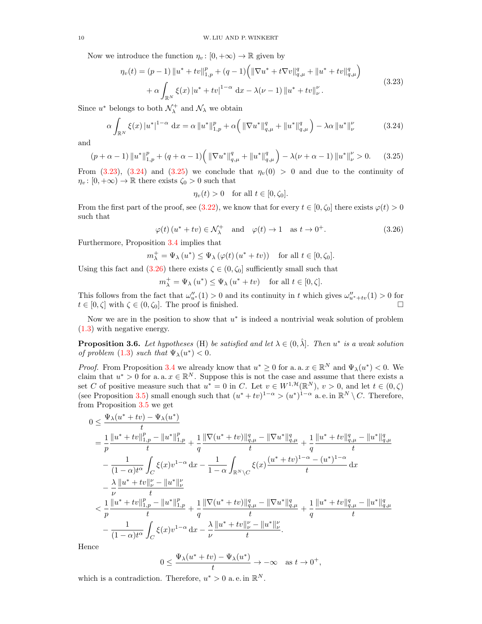Now we introduce the function  $\eta_v : [0, +\infty) \to \mathbb{R}$  given by

$$
\eta_{\nu}(t) = (p-1) \|u^* + tv\|_{1,p}^p + (q-1) \left( \|\nabla u^* + t\nabla v\|_{q,\mu}^q + \|u^* + tv\|_{q,\mu}^q \right) + \alpha \int_{\mathbb{R}^N} \xi(x) |u^* + tv|^{1-\alpha} dx - \lambda(\nu - 1) \|u^* + tv\|_{\nu}^{\nu}.
$$
\n(3.23)

Since  $u^*$  belongs to both  $\mathcal{N}^+_\lambda$  and  $\mathcal{N}_\lambda$  we obtain

$$
\alpha \int_{\mathbb{R}^N} \xi(x) \left| u^* \right|^{1-\alpha} \, \mathrm{d}x = \alpha \left\| u^* \right\|_{1,p}^p + \alpha \left( \left\| \nabla u^* \right\|_{q,\mu}^q + \left\| u^* \right\|_{q,\mu}^q \right) - \lambda \alpha \left\| u^* \right\|_{\nu}^p \tag{3.24}
$$

and

$$
(p + \alpha - 1) \|u^*\|_{1,p}^p + (q + \alpha - 1) \left( \|\nabla u^*\|_{q,\mu}^q + \|u^*\|_{q,\mu}^q \right) - \lambda(\nu + \alpha - 1) \|u^*\|_{\nu}^p > 0. \tag{3.25}
$$

From [\(3.23\)](#page-9-0), [\(3.24\)](#page-9-1) and [\(3.25\)](#page-9-2) we conclude that  $\eta_v(0) > 0$  and due to the continuity of  $\eta_v : [0, +\infty) \to \mathbb{R}$  there exists  $\zeta_0 > 0$  such that

<span id="page-9-3"></span><span id="page-9-2"></span><span id="page-9-1"></span><span id="page-9-0"></span>
$$
\eta_v(t) > 0 \quad \text{for all } t \in [0, \zeta_0].
$$

From the first part of the proof, see [\(3.22\)](#page-8-1), we know that for every  $t \in [0, \zeta_0]$  there exists  $\varphi(t) > 0$ such that

$$
\varphi(t) (u^* + tv) \in \mathcal{N}_{\lambda}^+
$$
 and  $\varphi(t) \to 1$  as  $t \to 0^+$ . (3.26)

Furthermore, Proposition [3.4](#page-5-2) implies that

$$
m^+_{\lambda} = \Psi_{\lambda} (u^*) \leq \Psi_{\lambda} (\varphi(t) (u^* + tv)) \quad \text{ for all } t \in [0, \zeta_0].
$$

Using this fact and [\(3.26\)](#page-9-3) there exists  $\zeta \in (0, \zeta_0]$  sufficiently small such that

 $m_{\lambda}^{+} = \Psi_{\lambda} (u^{*}) \leq \Psi_{\lambda} (u^{*} + tv)$  for all  $t \in [0, \zeta]$ .

This follows from the fact that  $\omega''_{u^*}(1) > 0$  and its continuity in t which gives  $\omega''_{u^*+tv}(1) > 0$  for  $t \in [0, \zeta]$  with  $\zeta \in (0, \zeta_0]$ . The proof is finished.

Now we are in the position to show that  $u^*$  is indeed a nontrivial weak solution of problem [\(1.3\)](#page-0-2) with negative energy.

<span id="page-9-4"></span>**Proposition 3.6.** Let hypotheses (H) be satisfied and let  $\lambda \in (0, \hat{\lambda}]$ . Then  $u^*$  is a weak solution of problem [\(1.3\)](#page-0-2) such that  $\Psi_{\lambda}(u^{*}) < 0$ .

*Proof.* From Proposition [3.4](#page-5-2) we already know that  $u^* \geq 0$  for a. a.  $x \in \mathbb{R}^N$  and  $\Psi_{\lambda}(u^*) < 0$ . We claim that  $u^* > 0$  for a. a.  $x \in \mathbb{R}^N$ . Suppose this is not the case and assume that there exists a set C of positive measure such that  $u^* = 0$  in C. Let  $v \in W^{1,\mathcal{H}}(\mathbb{R}^N)$ ,  $v > 0$ , and let  $t \in (0,\zeta)$ (see Proposition [3.5\)](#page-8-2) small enough such that  $(u^* + tv)^{1-\alpha} > (u^*)^{1-\alpha}$  a.e. in  $\mathbb{R}^N \setminus C$ . Therefore, from Proposition [3.5](#page-8-2) we get

$$
0 \leq \frac{\Psi_{\lambda}(u^* + tv) - \Psi_{\lambda}(u^*)}{t} \n= \frac{1}{p} \frac{\|u^* + tv\|_{1,p}^p - \|u^*\|_{1,p}^p}{t} + \frac{1}{q} \frac{\|\nabla(u^* + tv)\|_{q,\mu}^q - \|\nabla u^*\|_{q,\mu}^q}{t} + \frac{1}{q} \frac{\|u^* + tv\|_{q,\mu}^q - \|u^*\|_{q,\mu}^q}{t} \n- \frac{1}{(1-\alpha)t^{\alpha}} \int_C \xi(x)v^{1-\alpha} dx - \frac{1}{1-\alpha} \int_{\mathbb{R}^N \backslash C} \xi(x) \frac{(u^* + tv)^{1-\alpha} - (u^*)^{1-\alpha}}{t} dx \n- \frac{\lambda}{\nu} \frac{\|u^* + tv\|_{\nu}^{\nu} - \|u^*\|_{\nu}^{\nu}}{t} \n< \frac{1}{p} \frac{\|u^* + tv\|_{1,p}^p - \|u^*\|_{1,p}^p}{t} + \frac{1}{q} \frac{\|\nabla(u^* + tv)\|_{q,\mu}^q - \|\nabla u^*\|_{q,\mu}^q}{t} + \frac{1}{q} \frac{\|u^* + tv\|_{q,\mu}^q - \|u^*\|_{q,\mu}^q}{t} \n- \frac{1}{(1-\alpha)t^{\alpha}} \int_C \xi(x)v^{1-\alpha} dx - \frac{\lambda}{\nu} \frac{\|u^* + tv\|_{\nu}^{\nu} - \|u^*\|_{\nu}^p}{t}.
$$

Hence

$$
0 \le \frac{\Psi_{\lambda}(u^* + tv) - \Psi_{\lambda}(u^*)}{t} \to -\infty \quad \text{as } t \to 0^+,
$$

which is a contradiction. Therefore,  $u^* > 0$  a.e. in  $\mathbb{R}^N$ .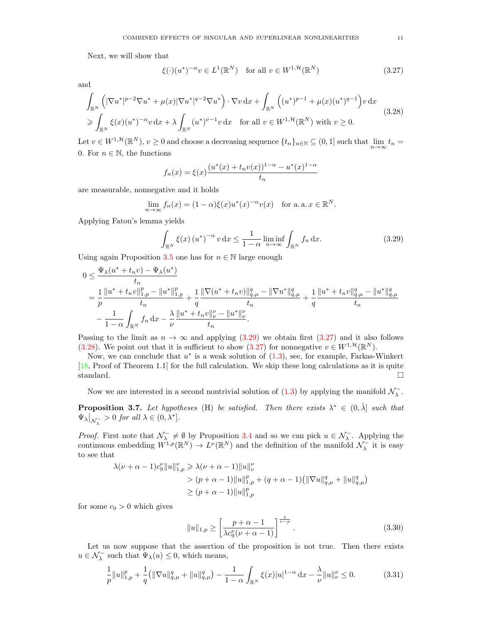Next, we will show that

<span id="page-10-2"></span><span id="page-10-1"></span>
$$
\xi(\cdot)(u^*)^{-\alpha}v \in L^1(\mathbb{R}^N) \quad \text{for all } v \in W^{1,\mathcal{H}}(\mathbb{R}^N)
$$
\n(3.27)

and

$$
\int_{\mathbb{R}^N} \left( |\nabla u^*|^{p-2} \nabla u^* + \mu(x) |\nabla u^*|^{q-2} \nabla u^* \right) \cdot \nabla v \, dx + \int_{\mathbb{R}^N} \left( (u^*)^{p-1} + \mu(x) (u^*)^{q-1} \right) v \, dx
$$
\n
$$
\geqslant \int_{\mathbb{R}^N} \xi(x) (u^*)^{-\alpha} v \, dx + \lambda \int_{\mathbb{R}^N} (u^*)^{\nu-1} v \, dx \quad \text{for all } v \in W^{1, \mathcal{H}}(\mathbb{R}^N) \text{ with } v \geq 0.
$$
\n(3.28)

Let  $v \in W^{1,\mathcal{H}}(\mathbb{R}^N)$ ,  $v \ge 0$  and choose a decreasing sequence  $\{t_n\}_{n \in \mathbb{N}} \subseteq (0,1]$  such that  $\lim_{n \to \infty} t_n =$ 0. For  $n \in \mathbb{N}$ , the functions

$$
f_n(x) = \xi(x) \frac{(u^*(x) + t_n v(x))^{1-\alpha} - u^*(x)^{1-\alpha}}{t_n}
$$

are measurable, nonnegative and it holds

$$
\lim_{n \to \infty} f_n(x) = (1 - \alpha) \xi(x) u^*(x)^{-\alpha} v(x) \quad \text{for a. a. } x \in \mathbb{R}^N.
$$

Applying Fatou's lemma yields

<span id="page-10-0"></span>
$$
\int_{\mathbb{R}^N} \xi(x) \left(u^*\right)^{-\alpha} v \, \mathrm{d}x \le \frac{1}{1-\alpha} \liminf_{n \to \infty} \int_{\mathbb{R}^N} f_n \, \mathrm{d}x. \tag{3.29}
$$

Using again Proposition [3.5](#page-8-2) one has for  $n \in \mathbb{N}$  large enough

$$
\begin{split} 0 &\leq \frac{\Psi_{\lambda}(u^*+t_nv)-\Psi_{\lambda}(u^*)}{t_n} \\ &=\frac{1}{p}\frac{\|u^*+t_nv\|_{1,p}^p-\|u^*\|_{1,p}^p}{t_n}+\frac{1}{q}\frac{\|\nabla(u^*+t_nv)\|_{q,\mu}^q-\|\nabla u^*\|_{q,\mu}^q}{t_n}+\frac{1}{q}\frac{\|u^*+t_nv\|_{q,\mu}^q-\|u^*\|_{q,\mu}^q}{t_n} \\ &-\frac{1}{1-\alpha}\int_{\mathbb{R}^N}f_n\,\mathrm{d} x-\frac{\lambda}{\nu}\frac{\|u^*+t_nv\|_{\nu}^{\nu}-\|u^*\|_{\nu}^{\nu}}{t_n}. \end{split}
$$

Passing to the limit as  $n \to \infty$  and applying [\(3.29\)](#page-10-0) we obtain first [\(3.27\)](#page-10-1) and it also follows [\(3.28\)](#page-10-2). We point out that it is sufficient to show [\(3.27\)](#page-10-1) for nonnegative  $v \in W^{1, \mathcal{H}}(\mathbb{R}^N)$ .

Now, we can conclude that  $u^*$  is a weak solution of  $(1.3)$ , see, for example, Farkas-Winkert [\[18,](#page-13-16) Proof of Theorem 1.1] for the full calculation. We skip these long calculations as it is quite standard.

Now we are interested in a second nontrivial solution of  $(1.3)$  by applying the manifold  $\mathcal{N}_{\lambda}^-$ .

<span id="page-10-5"></span>**Proposition 3.7.** Let hypotheses (H) be satisfied. Then there exists  $\lambda^* \in (0, \hat{\lambda}]$  such that  $\Psi_{\lambda}|_{\mathcal{N}_{\lambda}^{-}}>0$  for all  $\lambda \in (0,\lambda^{*}].$ 

*Proof.* First note that  $\mathcal{N}_{\lambda}^- \neq \emptyset$  by Proposition [3.4](#page-5-2) and so we can pick  $u \in \mathcal{N}_{\lambda}^-$ . Applying the continuous embedding  $W^{1,p}(\mathbb{R}^N) \to L^p(\mathbb{R}^N)$  and the definition of the manifold  $\mathcal{N}_{\lambda}^-$  it is easy to see that

$$
\lambda(\nu + \alpha - 1)c_9^{\nu}||u||_{1,p}^{\nu} \ge \lambda(\nu + \alpha - 1)||u||_{\nu}^{\nu}
$$
  
> 
$$
(p + \alpha - 1)||u||_{1,p}^p + (q + \alpha - 1)(||\nabla u||_{q,\mu}^q + ||u||_{q,\mu}^q)
$$
  

$$
\ge (p + \alpha - 1)||u||_{1,p}^p
$$

for some  $c_9 > 0$  which gives

<span id="page-10-4"></span>
$$
||u||_{1,p} \ge \left[\frac{p+\alpha-1}{\lambda c_9^{\nu}(\nu+\alpha-1)}\right]^{\frac{1}{\nu-p}}.
$$
\n(3.30)

Let us now suppose that the assertion of the proposition is not true. Then there exists  $u\in \mathcal{N}_\lambda^-$  such that  $\Psi_\lambda(u)\leq 0,$  which means,

<span id="page-10-3"></span>
$$
\frac{1}{p}||u||_{1,p}^p + \frac{1}{q} (||\nabla u||_{q,\mu}^q + ||u||_{q,\mu}^q) - \frac{1}{1-\alpha} \int_{\mathbb{R}^N} \xi(x)|u|^{1-\alpha} \, \mathrm{d}x - \frac{\lambda}{\nu} ||u||_{\nu}^p \le 0. \tag{3.31}
$$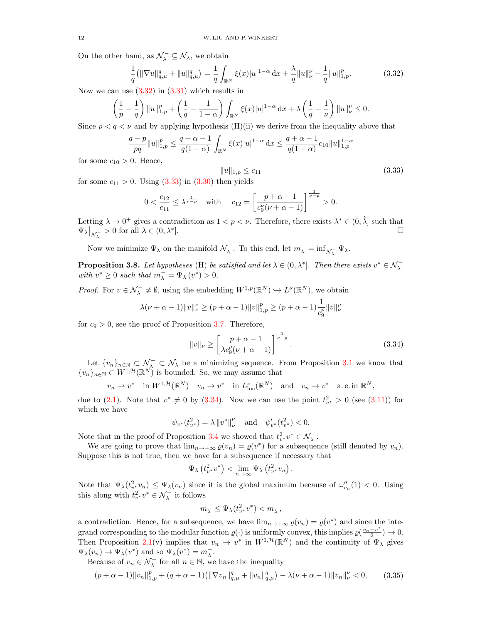On the other hand, as  $\mathcal{N}_{\lambda}^{-} \subseteq \mathcal{N}_{\lambda}$ , we obtain

<span id="page-11-0"></span>
$$
\frac{1}{q}(\|\nabla u\|_{q,\mu}^q + \|u\|_{q,\mu}^q) = \frac{1}{q} \int_{\mathbb{R}^N} \xi(x)|u|^{1-\alpha} \, \mathrm{d}x + \frac{\lambda}{q} \|u\|_{\nu}^p - \frac{1}{q} \|u\|_{1,p}^p. \tag{3.32}
$$

Now we can use  $(3.32)$  in  $(3.31)$  which results in

$$
\left(\frac{1}{p} - \frac{1}{q}\right) \|u\|_{1,p}^p + \left(\frac{1}{q} - \frac{1}{1-\alpha}\right) \int_{\mathbb{R}^N} \xi(x)|u|^{1-\alpha} \, \mathrm{d}x + \lambda \left(\frac{1}{q} - \frac{1}{\nu}\right) \|u\|_{\nu}^p \le 0.
$$

Since  $p < q < \nu$  and by applying hypothesis (H)(ii) we derive from the inequality above that

$$
\frac{q-p}{pq}||u||_{1,p}^p \le \frac{q+\alpha-1}{q(1-\alpha)} \int_{\mathbb{R}^N} \xi(x)|u|^{1-\alpha} dx \le \frac{q+\alpha-1}{q(1-\alpha)}c_{10}||u||_{1,p}^{1-\alpha}
$$

for some  $c_{10} > 0$ . Hence,

<span id="page-11-1"></span>
$$
||u||_{1,p} \le c_{11} \tag{3.33}
$$

for some  $c_{11} > 0$ . Using  $(3.33)$  in  $(3.30)$  then yields

$$
0 < \frac{c_{12}}{c_{11}} \le \lambda^{\frac{1}{\nu - p}} \quad \text{with} \quad c_{12} = \left[ \frac{p + \alpha - 1}{c_9^{\nu}(\nu + \alpha - 1)} \right]^{\frac{1}{\nu - p}} > 0.
$$

Letting  $\lambda \to 0^+$  gives a contradiction as  $1 < p < \nu$ . Therefore, there exists  $\lambda^* \in (0, \hat{\lambda}]$  such that  $\Psi_{\lambda}\big|_{\mathcal{N}_{\lambda}^-}>0$  for all  $\lambda\in(0,\lambda^*$ ].

Now we minimize  $\Psi_\lambda$  on the manifold  $\mathcal{N}_\lambda^-$ . To this end, let  $m_\lambda^- = \inf_{\mathcal{N}_\lambda^-} \Psi_\lambda$ .

<span id="page-11-4"></span>**Proposition 3.8.** Let hypotheses (H) be satisfied and let  $\lambda \in (0, \lambda^*]$ . Then there exists  $v^* \in \mathcal{N}_{\lambda}^$ with  $v^* \geq 0$  such that  $m_{\lambda}^- = \Psi_{\lambda}(v^*) > 0$ .

*Proof.* For  $v \in \mathcal{N}_{\lambda}^- \neq \emptyset$ , using the embedding  $W^{1,p}(\mathbb{R}^N) \hookrightarrow L^{\nu}(\mathbb{R}^N)$ , we obtain

$$
\lambda(\nu+\alpha-1) \|v\|_{\nu}^{\nu} \ge (p+\alpha-1) \|v\|_{1,p}^p \ge (p+\alpha-1) \frac{1}{c_9^p} \|v\|_{\nu}^p
$$

for  $c_9 > 0$ , see the proof of Proposition [3.7.](#page-10-5) Therefore,

<span id="page-11-2"></span>
$$
||v||_{\nu} \ge \left[\frac{p+\alpha-1}{\lambda c_9^p(\nu+\alpha-1)}\right]^{\frac{1}{\nu-p}}.
$$
\n(3.34)

Let  $\{v_n\}_{n\in\mathbb{N}}\subset\mathcal{N}_\lambda\subset\mathcal{N}_\lambda$  be a minimizing sequence. From Proposition [3.1](#page-3-4) we know that  ${v_n}_{n\in\mathbb{N}}\subset W^{1,\mathcal{H}}(\mathbb{R}^N)$  is bounded. So, we may assume that

$$
v_n \rightharpoonup v^*
$$
 in  $W^{1,\mathcal{H}}(\mathbb{R}^N)$   $v_n \rightharpoonup v^*$  in  $L^{\nu}_{loc}(\mathbb{R}^N)$  and  $v_n \rightharpoonup v^*$  a.e. in  $\mathbb{R}^N$ ,

due to [\(2.1\)](#page-2-1). Note that  $v^* \neq 0$  by [\(3.34\)](#page-11-2). Now we can use the point  $t_{v^*}^2 > 0$  (see [\(3.11\)](#page-6-1)) for which we have

$$
\psi_{v^*}(t_{v^*}^2) = \lambda \|v^*\|_{\nu}^{\nu} \text{ and } \psi_{v^*}'(t_{v^*}^2) < 0.
$$

Note that in the proof of Proposition [3.4](#page-5-2) we showed that  $t^2_{v^*}v^* \in \mathcal{N}_{\lambda}^-$ .

We are going to prove that  $\lim_{n\to+\infty}\varrho(v_n)=\varrho(v^*)$  for a subsequence (still denoted by  $v_n$ ). Suppose this is not true, then we have for a subsequence if necessary that

$$
\Psi_{\lambda}\left(t_{v^*}^2v^*\right) < \lim_{n \to \infty} \Psi_{\lambda}\left(t_{v^*}^2v_n\right).
$$

Note that  $\Psi_{\lambda}(t_v^2, v_n) \leq \Psi_{\lambda}(v_n)$  since it is the global maximum because of  $\omega_{v_n}''(1) < 0$ . Using this along with  $t_{v^*}^2 v^* \in \mathcal{N}_{\lambda}^-$  it follows

<span id="page-11-3"></span>
$$
m_{\lambda}^- \leq \Psi_{\lambda}(t_{v^*}^2 v^*) < m_{\lambda}^-,
$$

a contradiction. Hence, for a subsequence, we have  $\lim_{n\to+\infty} \varrho(v_n) = \varrho(v^*)$  and since the integrand corresponding to the modular function  $\varrho(\cdot)$  is uniformly convex, this implies  $\varrho(\frac{v_n-v^*}{2})$  $\frac{-v^{*}}{2}$ )  $\to 0$ . Then Proposition [2.1\(](#page-3-3)v) implies that  $v_n \to v^*$  in  $W^{1,\mathcal{H}}(\mathbb{R}^N)$  and the continuity of  $\Psi_\lambda$  gives  $\Psi_{\lambda}(v_n) \to \Psi_{\lambda}(v^*)$  and so  $\Psi_{\lambda}(v^*) = m_{\lambda}^-$ .

Because of  $v_n \in \mathcal{N}_{\lambda}^-$  for all  $n \in \mathbb{N}$ , we have the inequality

$$
(p+\alpha-1)\|v_n\|_{1,p}^p + (q+\alpha-1)\left(\|\nabla v_n\|_{q,\mu}^q + \|v_n\|_{q,\mu}^q\right) - \lambda(\nu+\alpha-1)\|v_n\|_{\nu}^{\nu} < 0,\tag{3.35}
$$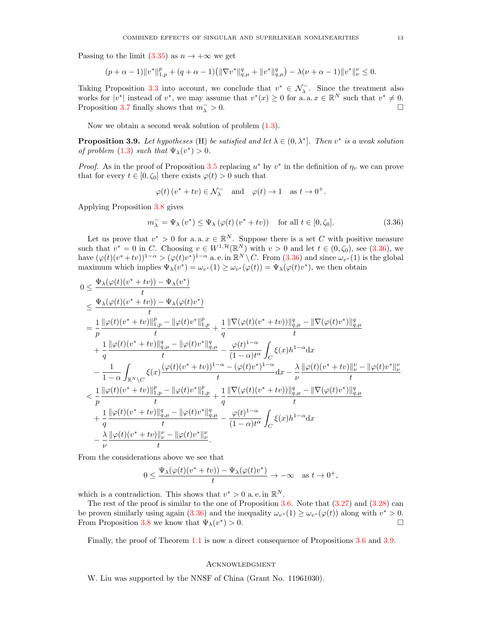Passing to the limit [\(3.35\)](#page-11-3) as  $n \to +\infty$  we get

$$
(p+\alpha-1)\|v^*\|_{1,p}^p+(q+\alpha-1)\left(\|\nabla v^*\|_{q,\mu}^q+\|v^*\|_{q,\mu}^q\right)-\lambda(\nu+\alpha-1)\|v^*\|_{\nu}^{\nu}\leq 0.
$$

Taking Proposition [3.3](#page-4-7) into account, we conclude that  $v^* \in \mathcal{N}_{\lambda}$ . Since the treatment also works for  $|v^*|$  instead of  $v^*$ , we may assume that  $v^*(x) \geq 0$  for a. a.  $x \in \mathbb{R}^N$  such that  $v^* \neq 0$ . Proposition [3.7](#page-10-5) finally shows that  $m_{\lambda}^{-}>0$ .  $\lambda > 0.$ 

Now we obtain a second weak solution of problem [\(1.3\)](#page-0-2).

<span id="page-12-1"></span>**Proposition 3.9.** Let hypotheses (H) be satisfied and let  $\lambda \in (0, \lambda^*]$ . Then  $v^*$  is a weak solution of problem [\(1.3\)](#page-0-2) such that  $\Psi_{\lambda}(v^*) > 0$ .

*Proof.* As in the proof of Proposition [3.5](#page-8-2) replacing  $u^*$  by  $v^*$  in the definition of  $\eta_v$  we can prove that for every  $t \in [0, \zeta_0]$  there exists  $\varphi(t) > 0$  such that

<span id="page-12-0"></span>
$$
\varphi(t) (v^* + tv) \in \mathcal{N}_{\lambda}^-
$$
 and  $\varphi(t) \to 1$  as  $t \to 0^+$ .

Applying Proposition [3.8](#page-11-4) gives

$$
m_{\lambda}^- = \Psi_{\lambda}(v^*) \le \Psi_{\lambda}(\varphi(t)(v^* + tv)) \quad \text{for all } t \in [0, \zeta_0].
$$
 (3.36)

Let us prove that  $v^* > 0$  for a.a.  $x \in \mathbb{R}^N$ . Suppose there is a set C with positive measure such that  $v^* = 0$  in C. Choosing  $v \in W^{1, \mathcal{H}}(\mathbb{R}^N)$  with  $v > 0$  and let  $t \in (0, \zeta_0)$ , see  $(3.36)$ , we have  $(\varphi(t)(v^*+tv))^{1-\alpha} > (\varphi(t)v^*)^{1-\alpha}$  a. e. in  $\mathbb{R}^N \setminus C$ . From  $(3.36)$  and since  $\omega_{v^*}(1)$  is the global maximum which implies  $\Psi_{\lambda}(v^*) = \omega_{v^*}(1) \ge \omega_{v^*}(\varphi(t)) = \Psi_{\lambda}(\varphi(t)v^*)$ , we then obtain

$$
0 \leq \frac{\Psi_{\lambda}(\varphi(t)(v^* + tv)) - \Psi_{\lambda}(v^*)}{t} \n\leq \frac{\Psi_{\lambda}(\varphi(t)(v^* + tv)) - \Psi_{\lambda}(\varphi(t)v^*)}{t} \n= \frac{1}{p} \frac{\|\varphi(t)(v^* + tv)\|_{1,p}^p - \|\varphi(t)v^*\|_{1,p}^p}{t} + \frac{1}{q} \frac{\|\nabla(\varphi(t)(v^* + tv))\|_{q,\mu}^q - \|\nabla(\varphi(t)v^*)\|_{q,\mu}^q}{t} \n+ \frac{1}{q} \frac{\|\varphi(t)(v^* + tv)\|_{q,\mu}^q - \|\varphi(t)v^*\|_{q,\mu}^q}{t} - \frac{\varphi(t)^{1-\alpha}}{(1-\alpha)t^{\alpha}} \int_C \xi(x)h^{1-\alpha} dx \n- \frac{1}{1-\alpha} \int_{\mathbb{R}^N \backslash C} \xi(x) \frac{(\varphi(t)(v^* + tv))^{1-\alpha} - (\varphi(t)v^*)^{1-\alpha}}{t} dx - \frac{\lambda}{\nu} \frac{\|\varphi(t)(v^* + tv)\|_{\nu}^{\nu} - \|\varphi(t)v^*\|_{\nu}^{\nu}}{t} \n< \frac{1}{p} \frac{\|\varphi(t)(v^* + tv)\|_{1,p}^p - \|\varphi(t)v^*\|_{1,p}^p}{t} + \frac{1}{q} \frac{\|\nabla(\varphi(t)(v^* + tv))\|_{q,\mu}^q - \|\nabla(\varphi(t)v^*)\|_{q,\mu}^q}{t} \n+ \frac{1}{q} \frac{\|\varphi(t)(v^* + tv)\|_{q,\mu}^q - \|\varphi(t)v^*\|_{q,\mu}^q}{t} - \frac{\varphi(t)^{1-\alpha}}{(1-\alpha)t^{\alpha}} \int_C \xi(x)h^{1-\alpha} dx \n- \frac{\lambda}{\nu} \frac{\|\varphi(t)(v^* + tv)\|_{\nu}^{\nu} - \|\varphi(t)v^*\|_{\nu}^{\nu}}{t}.
$$

From the considerations above we see that

$$
0 \le \frac{\Psi_\lambda(\varphi(t)(v^*+tv))-\Psi_\lambda(\varphi(t)v^*)}{t} \to -\infty \quad \text{as } t \to 0^+,
$$

which is a contradiction. This shows that  $v^* > 0$  a.e. in  $\mathbb{R}^N$ .

The rest of the proof is similar to the one of Proposition [3.6.](#page-9-4) Note that  $(3.27)$  and  $(3.28)$  can be proven similarly using again [\(3.36\)](#page-12-0) and the inequality  $\omega_{v^*}(1) \geq \omega_{v^*}(\varphi(t))$  along with  $v^* > 0$ . From Proposition [3.8](#page-11-4) we know that  $\Psi_{\lambda}(v^*)$  $) > 0.$ 

Finally, the proof of Theorem [1.1](#page-1-1) is now a direct consequence of Propositions [3.6](#page-9-4) and [3.9.](#page-12-1)

### **ACKNOWLEDGMENT**

W. Liu was supported by the NNSF of China (Grant No. 11961030).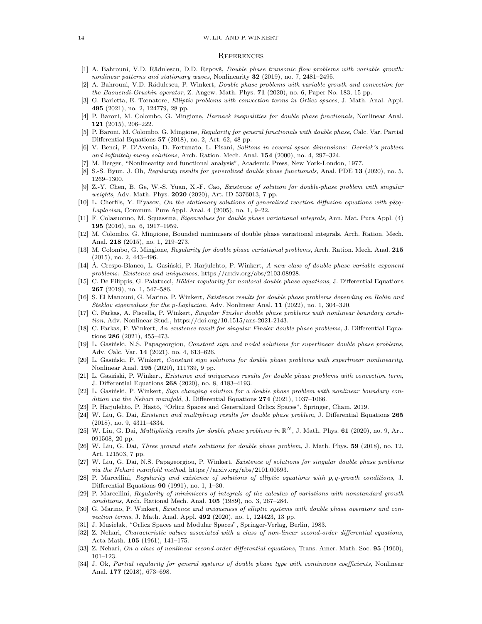#### 14 W. LIU AND P.WINKERT

### **REFERENCES**

- <span id="page-13-0"></span>[1] A. Bahrouni, V.D. Rădulescu, D.D. Repovš, *Double phase transonic flow problems with variable growth:* nonlinear patterns and stationary waves, Nonlinearity 32 (2019), no. 7, 2481–2495.
- <span id="page-13-18"></span>[2] A. Bahrouni, V.D. Rădulescu, P. Winkert, *Double phase problems with variable growth and convection for* the Baouendi-Grushin operator, Z. Angew. Math. Phys. 71 (2020), no. 6, Paper No. 183, 15 pp.
- <span id="page-13-19"></span>[3] G. Barletta, E. Tornatore, Elliptic problems with convection terms in Orlicz spaces, J. Math. Anal. Appl. 495 (2021), no. 2, 124779, 28 pp.
- <span id="page-13-3"></span>[4] P. Baroni, M. Colombo, G. Mingione, Harnack inequalities for double phase functionals, Nonlinear Anal. 121 (2015), 206–222.
- <span id="page-13-4"></span>[5] P. Baroni, M. Colombo, G. Mingione, Regularity for general functionals with double phase, Calc. Var. Partial Differential Equations 57 (2018), no. 2, Art. 62, 48 pp.
- <span id="page-13-1"></span>[6] V. Benci, P. D'Avenia, D. Fortunato, L. Pisani, Solitons in several space dimensions: Derrick's problem and infinitely many solutions, Arch. Ration. Mech. Anal. 154 (2000), no. 4, 297–324.
- <span id="page-13-33"></span>[7] M. Berger, "Nonlinearity and functional analysis", Academic Press, New York-London, 1977.
- <span id="page-13-5"></span>[8] S.-S. Byun, J. Oh, *Regularity results for generalized double phase functionals*, Anal. PDE 13 (2020), no. 5, 1269–1300.
- <span id="page-13-15"></span>[9] Z.-Y. Chen, B. Ge, W.-S. Yuan, X.-F. Cao, Existence of solution for double-phase problem with singular weights, Adv. Math. Phys. 2020 (2020), Art. ID 5376013, 7 pp.
- <span id="page-13-2"></span>[10] L. Cherfils, Y. Il'yasov, On the stationary solutions of generalized reaction diffusion equations with  $p\&q$ -Laplacian, Commun. Pure Appl. Anal. 4 (2005), no. 1, 9–22.
- <span id="page-13-20"></span>[11] F. Colasuonno, M. Squassina, Eigenvalues for double phase variational integrals, Ann. Mat. Pura Appl. (4) 195 (2016), no. 6, 1917–1959.
- <span id="page-13-6"></span>[12] M. Colombo, G. Mingione, Bounded minimisers of double phase variational integrals, Arch. Ration. Mech. Anal. 218 (2015), no. 1, 219–273.
- <span id="page-13-7"></span>[13] M. Colombo, G. Mingione, Regularity for double phase variational problems, Arch. Ration. Mech. Anal. 215 (2015), no. 2, 443–496.
- <span id="page-13-32"></span>[14] A. Crespo-Blanco, L. Gasiński, P. Harjulehto, P. Winkert, A new class of double phase variable exponent problems: Existence and uniqueness, https://arxiv.org/abs/2103.08928.
- <span id="page-13-8"></span>[15] C. De Filippis, G. Palatucci, Hölder regularity for nonlocal double phase equations, J. Differential Equations 267 (2019), no. 1, 547–586.
- <span id="page-13-21"></span>[16] S. El Manouni, G. Marino, P. Winkert, Existence results for double phase problems depending on Robin and Steklov eigenvalues for the p-Laplacian, Adv. Nonlinear Anal. 11 (2022), no. 1, 304–320.
- <span id="page-13-17"></span>[17] C. Farkas, A. Fiscella, P. Winkert, Singular Finsler double phase problems with nonlinear boundary condition, Adv. Nonlinear Stud., https://doi.org/10.1515/ans-2021-2143.
- <span id="page-13-16"></span>[18] C. Farkas, P. Winkert, An existence result for singular Finsler double phase problems, J. Differential Equations 286 (2021), 455–473.
- <span id="page-13-22"></span>[19] L. Gasinski, N.S. Papageorgiou, Constant sign and nodal solutions for superlinear double phase problems, Adv. Calc. Var. 14 (2021), no. 4, 613–626.
- <span id="page-13-23"></span>[20] L. Gasiński, P. Winkert, Constant sign solutions for double phase problems with superlinear nonlinearity, Nonlinear Anal. 195 (2020), 111739, 9 pp.
- <span id="page-13-24"></span>[21] L. Gasiński, P. Winkert, Existence and uniqueness results for double phase problems with convection term, J. Differential Equations 268 (2020), no. 8, 4183–4193.
- <span id="page-13-25"></span>[22] L. Gasinski, P. Winkert, Sign changing solution for a double phase problem with nonlinear boundary condition via the Nehari manifold, J. Differential Equations 274 (2021), 1037-1066.
- <span id="page-13-30"></span>[23] P. Harjulehto, P. Hästö, "Orlicz Spaces and Generalized Orlicz Spaces", Springer, Cham, 2019.
- <span id="page-13-26"></span>[24] W. Liu, G. Dai, Existence and multiplicity results for double phase problem, J. Differential Equations 265 (2018), no. 9, 4311–4334.
- <span id="page-13-29"></span>[25] W. Liu, G. Dai, *Multiplicity results for double phase problems in*  $\mathbb{R}^N$ , J. Math. Phys. **61** (2020), no. 9, Art. 091508, 20 pp.
- <span id="page-13-27"></span>[26] W. Liu, G. Dai, Three ground state solutions for double phase problem, J. Math. Phys. 59 (2018), no. 12, Art. 121503, 7 pp.
- <span id="page-13-14"></span>[27] W. Liu, G. Dai, N.S. Papageorgiou, P. Winkert, Existence of solutions for singular double phase problems via the Nehari manifold method, https://arxiv.org/abs/2101.00593.
- <span id="page-13-9"></span>[28] P. Marcellini, Regularity and existence of solutions of elliptic equations with p, q-growth conditions, J. Differential Equations 90 (1991), no. 1, 1–30.
- <span id="page-13-10"></span>[29] P. Marcellini, Regularity of minimizers of integrals of the calculus of variations with nonstandard growth conditions, Arch. Rational Mech. Anal. 105 (1989), no. 3, 267–284.
- <span id="page-13-28"></span>[30] G. Marino, P. Winkert, Existence and uniqueness of elliptic systems with double phase operators and convection terms, J. Math. Anal. Appl. 492 (2020), no. 1, 124423, 13 pp.
- <span id="page-13-31"></span>[31] J. Musielak, "Orlicz Spaces and Modular Spaces", Springer-Verlag, Berlin, 1983.
- <span id="page-13-12"></span>[32] Z. Nehari, Characteristic values associated with a class of non-linear second-order differential equations, Acta Math. 105 (1961), 141–175.
- <span id="page-13-13"></span>[33] Z. Nehari, On a class of nonlinear second-order differential equations, Trans. Amer. Math. Soc. 95 (1960), 101–123.
- <span id="page-13-11"></span>[34] J. Ok, Partial regularity for general systems of double phase type with continuous coefficients, Nonlinear Anal. 177 (2018), 673–698.